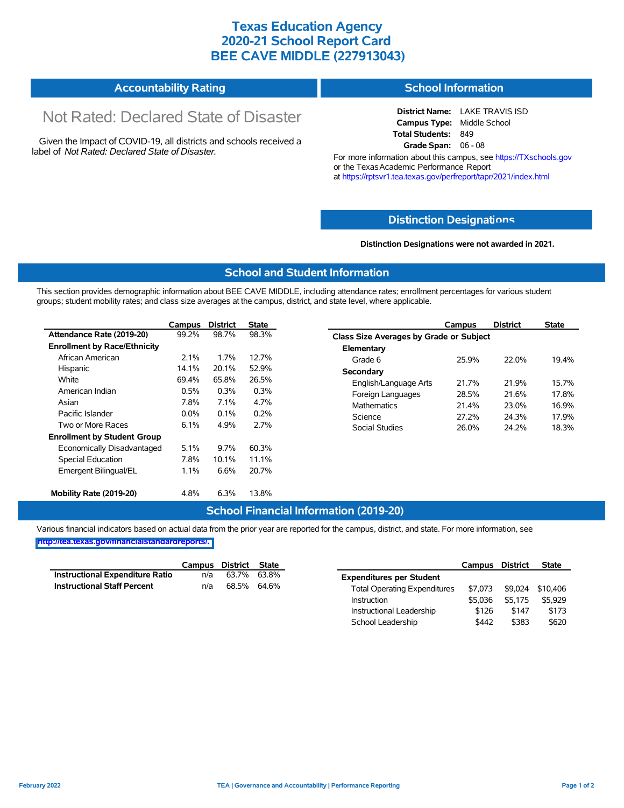## **Texas Education Agency 2020-21 School Report Card BEE CAVE MIDDLE (227913043)**

#### **Accountability Rating School Information**

# Not Rated: Declared State of Disaster

Given the Impact of COVID-19, all districts and schools received a label of *Not Rated: Declared State of Disaster.*

**District Name:** LAKE TRAVIS ISD **Campus Type:** Middle School **Total Students:** 849 **Grade Span:** 06 - 08

For more information about this campus, see https://TXschools.gov or the Texas Academic Performance Report at https://rptsvr1.tea.texas.gov/perfreport/tapr/2021/index.html

#### **Distinction Designat[ions](https://TXschools.gov)**

**Distinction Designations were not awarded in 2021.**

School Leadership  $$442$  \$383 \$620

#### **School and Student Information**

This section provides demographic information about BEE CAVE MIDDLE, including attendance rates; enrollment percentages for various student groups; student mobility rates; and class size averages at the campus, district, and state level, where applicable.

|                                     | Campus                  | <b>District</b> | <b>State</b>          |                    | Campus                                         | <b>District</b> | <b>State</b> |  |  |  |
|-------------------------------------|-------------------------|-----------------|-----------------------|--------------------|------------------------------------------------|-----------------|--------------|--|--|--|
| Attendance Rate (2019-20)           | 99.2%                   | 98.7%           | 98.3%                 |                    | <b>Class Size Averages by Grade or Subject</b> |                 |              |  |  |  |
| <b>Enrollment by Race/Ethnicity</b> |                         |                 |                       | Elementary         |                                                |                 |              |  |  |  |
| African American                    | 2.1%                    | 1.7%            | 12.7%                 | Grade 6            | 25.9%                                          | 22.0%           | 19.4%        |  |  |  |
| Hispanic                            | 14.1%                   | 20.1%           | 52.9%                 | Secondary          |                                                |                 |              |  |  |  |
| White                               | 69.4%<br>65.8%<br>26.5% |                 | English/Language Arts | 21.7%              | 21.9%                                          | 15.7%           |              |  |  |  |
| American Indian                     | 0.5%                    | 0.3%            | 0.3%                  | Foreign Languages  | 28.5%                                          | 21.6%           | 17.8%        |  |  |  |
| Asian                               | 4.7%<br>7.8%<br>7.1%    |                 |                       | <b>Mathematics</b> | 21.4%                                          | 23.0%           | 16.9%        |  |  |  |
| Pacific Islander                    | $0.0\%$                 | 0.1%            | 0.2%                  | Science            | 27.2%                                          | 24.3%           | 17.9%        |  |  |  |
| Two or More Races                   | 6.1%                    | 4.9%            | 2.7%                  | Social Studies     | 26.0%                                          | 24.2%           | 18.3%        |  |  |  |
| <b>Enrollment by Student Group</b>  |                         |                 |                       |                    |                                                |                 |              |  |  |  |
| Economically Disadvantaged          | 5.1%                    | 9.7%            | 60.3%                 |                    |                                                |                 |              |  |  |  |
| Special Education                   | 7.8%                    | 10.1%           | 11.1%                 |                    |                                                |                 |              |  |  |  |
| Emergent Bilingual/EL               | 1.1%                    | 6.6%            | 20.7%                 |                    |                                                |                 |              |  |  |  |
| Mobility Rate (2019-20)             | 4.8%                    | 6.3%            | 13.8%                 |                    |                                                |                 |              |  |  |  |

#### **School Financial Information (2019-20)**

Various financial indicators based on actual data from the prior year are reported for the campus, district, and state. For more information, see

**[http://tea.texas.gov/financialstandardreports/.](http://tea.texas.gov/financialstandardreports/)**

|                                    | Campus | District State |             |                                     | Campus  | <b>District</b> | <b>State</b>     |
|------------------------------------|--------|----------------|-------------|-------------------------------------|---------|-----------------|------------------|
| Instructional Expenditure Ratio    | n/a    | 63.7%          | 63.8%       | <b>Expenditures per Student</b>     |         |                 |                  |
| <b>Instructional Staff Percent</b> | n/a    |                | 68.5% 64.6% | <b>Total Operating Expenditures</b> | \$7.073 |                 | \$9.024 \$10.406 |
|                                    |        |                |             | Instruction                         | \$5.036 | \$5.175         | \$5.929          |
|                                    |        |                |             | Instructional Leadership            | \$126   | \$147           | \$173            |